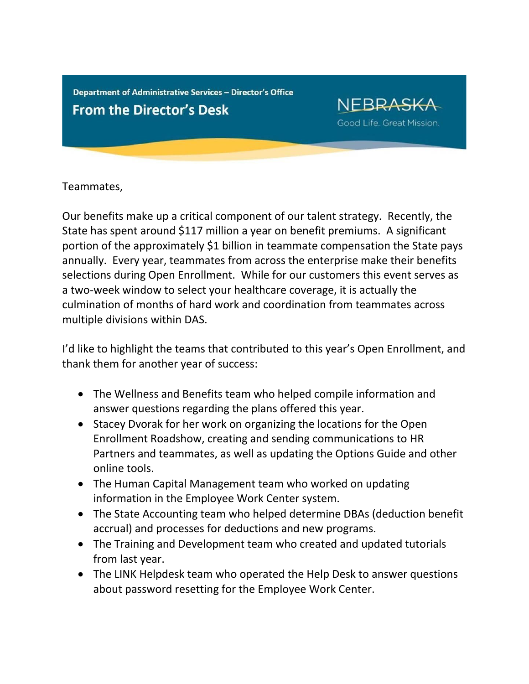Department of Administrative Services - Director's Office **From the Director's Desk** 

**NEBRASKA** Good Life. Great Mission.

Teammates,

Our benefits make up a critical component of our talent strategy. Recently, the State has spent around \$117 million a year on benefit premiums. A significant portion of the approximately \$1 billion in teammate compensation the State pays annually. Every year, teammates from across the enterprise make their benefits selections during Open Enrollment. While for our customers this event serves as a two-week window to select your healthcare coverage, it is actually the culmination of months of hard work and coordination from teammates across multiple divisions within DAS.

I'd like to highlight the teams that contributed to this year's Open Enrollment, and thank them for another year of success:

- The Wellness and Benefits team who helped compile information and answer questions regarding the plans offered this year.
- Stacey Dvorak for her work on organizing the locations for the Open Enrollment Roadshow, creating and sending communications to HR Partners and teammates, as well as updating the Options Guide and other online tools.
- The Human Capital Management team who worked on updating information in the Employee Work Center system.
- The State Accounting team who helped determine DBAs (deduction benefit accrual) and processes for deductions and new programs.
- The Training and Development team who created and updated tutorials from last year.
- The LINK Helpdesk team who operated the Help Desk to answer questions about password resetting for the Employee Work Center.